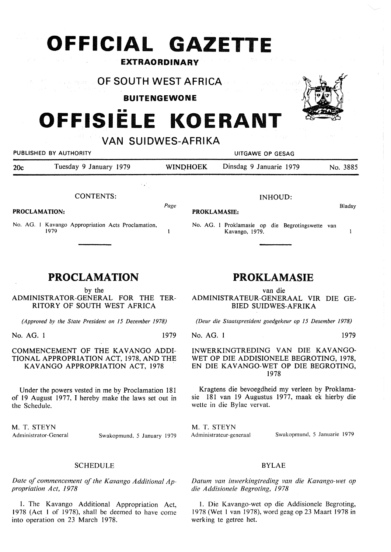# **OFFICIAL GAZETTE**

**EXTRAORDINARY** 

### **OF SOUTH WEST AFRICA**  Sang an Afranc

**BUITENGEWONE** 

# **OFFISIELE KOERANT**

**VAN SUIDWES-AFRIKA** 

| PUBLISHED BY AUTHORITY                                              |                                                             |                                                                         | UITGAWE OP GESAG   |                         |          |  |
|---------------------------------------------------------------------|-------------------------------------------------------------|-------------------------------------------------------------------------|--------------------|-------------------------|----------|--|
| 20c                                                                 | Tuesday 9 January 1979                                      | <b>WINDHOEK</b>                                                         |                    | Dinsdag 9 Januarie 1979 | No. 3885 |  |
|                                                                     | $\mathcal{F}(\mathbf{z}^{\mathcal{A}})$<br><b>CONTENTS:</b> |                                                                         | <b>INHOUD:</b>     |                         | Bladsy   |  |
| PROCLAMATION:<br>No. AG. 1 Kavango Appropriation Acts Proclamation, |                                                             | <b>PROKLAMASIE:</b><br>No. AG. 1 Proklamasie op die Begrotingswette van |                    |                         |          |  |
|                                                                     | 1979                                                        |                                                                         |                    | Kavango, 1979.          |          |  |
|                                                                     |                                                             |                                                                         |                    |                         |          |  |
| <b>PROCLAMATION</b>                                                 |                                                             |                                                                         | <b>PROKLAMASIE</b> |                         |          |  |

by the ADMINISTRATOR-GENERAL FOR THE TER-RITORY OF SOUTH WEST AFRICA

*(Approved by the State President on 15 December 1978)* 

No. AG. l 1979

## COMMENCEMENT OF THE KAVANGO ADDI-TIONAL APPROPRIATION ACT, 1978, AND THE KAVANGO APPROPRIATION ACT, 1978

Under the powers vested in me by Proclamation 181 of 19 August 1977, I hereby make the laws set out in the Schedule.

M. T. **STEYN**  Administrator-General Swakopmund, *5* January 1979

# SCHEDULE

*Date of commencement of the Kavango Additional Appropriation Act, 1978.* 

1. The Kavango Additional Appropriation Act, 1978 (Act l of 1978), shall be deemed to have come into operation on 23 March 1978.

# **PROKLAMASIE**

van die ADMINISTRATEUR-GENERAAL VIR DIE GE-BIED SUIDWES-AFRIKA

*(Deur die Staatspresident goedgekeur op 15 Desember 1978)* 

## No. AG. 1 1979

INWERKINGTREDING VAN DIE KAVANGO-WET OP DIE ADDISIONELE BEGROTING, 1978, EN DIE KAVANGO-WET OP DIE BEGROTING, 1978

Kragtens die bevoegdheid my verleen by Proklamasie 181 van 19 Augustus 1977, maak ek hierby die wette in die Bylae vervat.

M. T. **STEYN** 

Administrateur-generaal Swakopmund, *5* Januarie 1979

# BYLAE

*Datum van inwerkingtreding van die Kavango-wet op die Addisionele Begroting, 1978* 

1. Die Kavango-wet op die Addisionele Begroting, 1978 (Wet 1 van 1978), word geag op 23 Maart 1978 in werking te getree het.